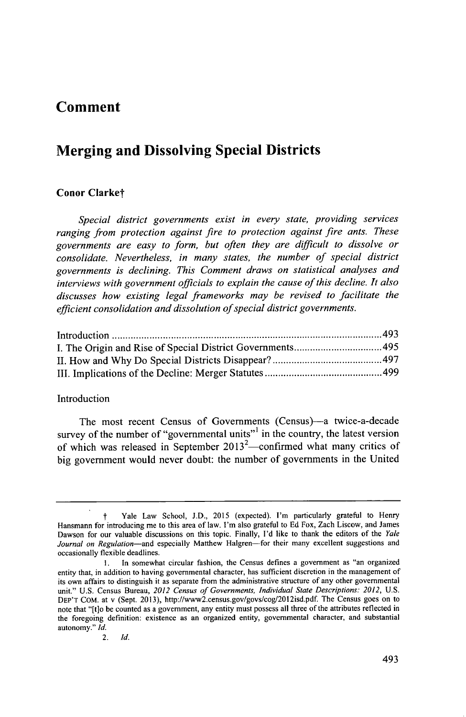## **Comment**

# **Merging and Dissolving Special Districts**

### **Conor Clarket**

*Special district governments exist in every state, providing services ranging from protection against fire to protection against fire ants. These governments are easy to form, but often they are difficult to dissolve or consolidate. Nevertheless, in many states, the number of special district governments is declining. This Comment draws on statistical analyses and interviews with government officials to explain the cause of this decline. It also discusses how existing legal frameworks may be revised to facilitate the efficient consolidation and dissolution of special district governments.*

#### Introduction

The most recent Census of Governments (Census)-a twice-a-decade survey of the number of "governmental units"<sup>1</sup> in the country, the latest version of which was released in September 2013<sup>2</sup>—confirmed what many critics of big government would never doubt: the number of governments in the United

*t* Yale Law School, **J.D., 2015** (expected). I'm particularly grateful to Henry Hansmann for introducing me to this area of law. I'm also grateful to **Ed** Fox, Zach Liscow, and James Dawson for our valuable discussions on this topic. Finally, **I'd** like to thank the editors of the *Yale* Journal on Regulation-and especially Matthew Halgren-for their many excellent suggestions and occasionally flexible deadlines.

**I.** In somewhat circular fashion, the Census defines a government as "an organized entity that, in addition to having governmental character, has sufficient discretion in the management of its own affairs to distinguish it as separate from the administrative structure of any other governmental unit." **U.S.** Census Bureau, *2012 Census of Governments, Individual State Descriptions: 2012,* **U.S. DEP'T COM.** at v (Sept. **2013),** http://www2.census.gov/govs/cog/2012isd.pdf. The Census goes on to note that "[tlo **be** counted as a government, any entity must possess all three of the attributes reflected in the foregoing definition: existence as an organized entity, governmental character, and substantial autonomy." *Id.*

<sup>2.</sup> *Id.*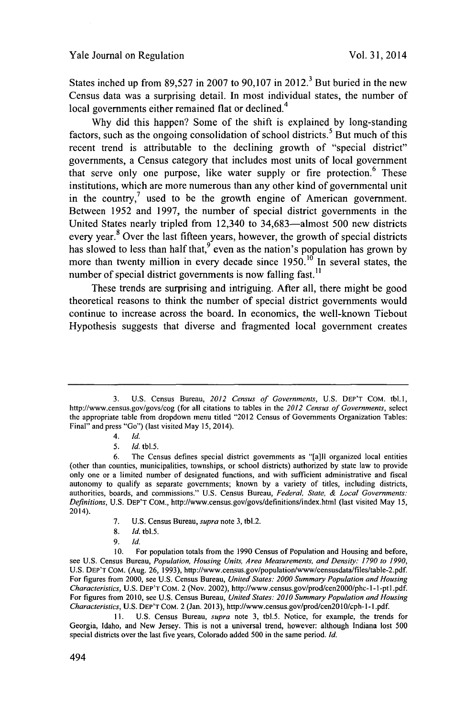States inched up from **89,527** in **2007** to **90,107** in 2012. But buried in the new Census data was a surprising detail. In most individual states, the number of local governments either remained flat or declined.<sup>4</sup>

**Why** did this happen? Some of the shift is explained **by** long-standing factors, such as the ongoing consolidation of school districts.<sup>5</sup> But much of this recent trend is attributable to the declining growth of "special district" governments, a Census category that includes most units of local government that serve only one purpose, like water supply or fire protection.<sup>6</sup> These institutions, which are more numerous than any other kind of governmental unit in the country, $\frac{7}{1}$  used to be the growth engine of American government. Between **1952** and **1997,** the number of special district governments in the United States nearly tripled from 12,340 to 34,683-almost **500** new districts every year.<sup>8</sup> Over the last fifteen years, however, the growth of special districts has slowed to less than half that,<sup>9</sup> even as the nation's population has grown by more than twenty million in every decade since **1950.10** In several states, the number of special district governments is now falling fast.<sup>11</sup>

These trends are surprising and intriguing. After all, there might be good theoretical reasons to think the number of special district governments would continue to increase across the board. In economics, the well-known Tiebout Hypothesis suggests that diverse and fragmented local government creates

- *4. Id.*
- *5. Id.* tbl.5.

- **7. U.S.** Census Bureau, *supra* note **3,** tbl.2.
- **8.** *Id. tbl.5.*
- **9.** *Id.*

**10.** For population totals from the **1990** Census of Population and Housing and before, see **U.S.** Census Bureau, *Population, Housing Units, Area Measurements, and Density: 1790 to 1990,* **U.S.** DEP'T **COM.** (Aug. **26, 1993),** http://www.census.gov/population/www/censusdata/files/table-2.pdf For figures from 2000, see **U.S.** Census Bureau, *United States: 2000 Summary Population and Housing Characteristics,* **U.S.** DEP'T CoM. 2 (Nov. 2002), http://www.census.gov/prod/cen2000/phc-1 **-I** -ptl **.pdf.** For figures from **2010,** see **U.S.** Census Bureau, *United States: 2010 Summary Population and Housing Characteristics,* **U.S.** DEP'T CoM. 2 (Jan. **2013),** http://www.census.gov/prod/cen2010/cph- **I - I.pdf.**

11. **U.S.** Census Bureau, *supra* note **3,** tbl.5. Notice, for example, the trends for Georgia, Idaho, and New Jersey. This is not a universal trend, however: although Indiana lost **500** special districts over the last five years, Colorado added **500** in the same period. *Id.*

**<sup>3.</sup> U.S.** Census Bureau, *2012 Census of Governments,* **U.S. DEP'T COM.** tbl.1, http://www.census.gov/govs/cog (for all citations to tables in the *2012 Census of Governments, select* the appropriate table from dropdown menu titled "2012 Census of Governments Organization Tables: Final" and press "Go") (last visited May **15,** 2014).

**<sup>6.</sup>** The Census defines special district governments as "[a]ll organized local entities (other than counties, municipalities, townships, or school districts) authorized **by** state law to provide only one or a limited number of designated functions, and with sufficient administrative and fiscal autonomy to qualify as separate governments; known **by** a variety of titles, including districts, authorities, boards, and commissions." **U.S.** Census Bureau, *Federal, State, & Local Governments: Definitions,* **U.S.** DEP'T **COM.,** http://www.census.gov/govs/definitions/index.html (last visited May **15,** 2014).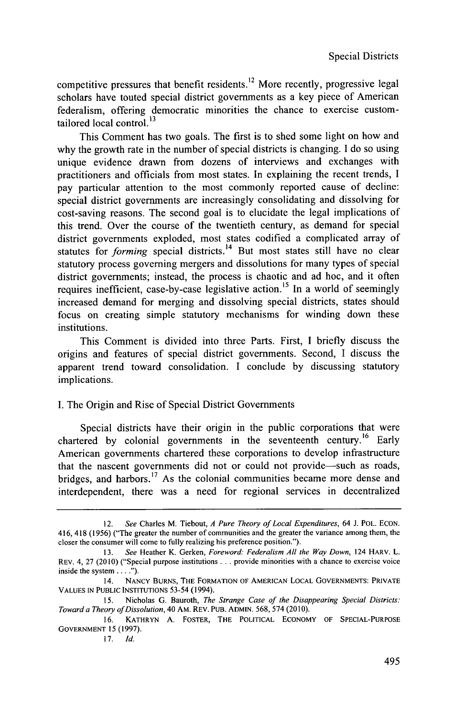competitive pressures that benefit residents.<sup>12</sup> More recently, progressive legal scholars have touted special district governments as a key piece of American federalism, offering democratic minorities the chance to exercise customtailored local control. $^{13}$ 

This Comment has two goals. The first is to shed some light on how and why the growth rate in the number of special districts is changing. **I** do so using unique evidence drawn from dozens of interviews and exchanges with practitioners and officials from most states. In explaining the recent trends, **I** pay particular attention to the most commonly reported cause of decline: special district governments are increasingly consolidating and dissolving for cost-saving reasons. The second goal is to elucidate the legal implications of this trend. Over the course of the twentieth century, as demand for special district governments exploded, most states codified a complicated array of statutes for *forming* special districts.<sup>14</sup> But most states still have no clear statutory process governing mergers and dissolutions for many types of special district governments; instead, the process is chaotic and ad hoc, and it often requires inefficient, case-by-case legislative action.<sup>15</sup> In a world of seemingly increased demand for merging and dissolving special districts, states should focus on creating simple statutory mechanisms for winding down these institutions.

This Comment is divided into three Parts. First, **I** briefly discuss the origins and features of special district governments. Second, **I** discuss the apparent trend toward consolidation. I conclude **by** discussing statutory implications.

## **I.** The Origin and Rise of Special District Governments

Special districts have their origin in the public corporations that were chartered **by** colonial governments in the seventeenth century.16 Early American governments chartered these corporations to develop infrastructure that the nascent governments did not or could not provide-such as roads, bridges, and harbors.<sup>17</sup> As the colonial communities became more dense and interdependent, there was a need for regional services in decentralized

<sup>12.</sup> *See* Charles M. Tiebout, *A Pure Theory of Local Expenditures,* 64 **J.** POL. **ECON.** 416, 418 **(1956)** ("The greater the number of communities and the greater the variance among them, the closer the consumer will come to fully realizing his preference position.").

**<sup>13.</sup>** *See* Heather K. Gerken, *Foreword: Federalism All the Way Down,* 124 HARV. L. **REV.** 4, **27** (2010) ("Special purpose institutions **...** provide minorities with a chance to exercise voice inside the system **. . . .").**

**<sup>14.</sup>** NANCY BURNS, THE FORMATION **OF AMERICAN LOCAL GOVERNMENTS:** PRIVATE **VALUES IN PUBLIC INSTITUTIONS 53-54 (1994).**

*I5.* **Nicholas G. Bauroth,** *The Strange Case of the Disappearing Special Districts: Toward a Theory ofDissolution,* 40 **AM. REV. PUB. ADMIN. 568,** *574* **(2010).**

**<sup>16.</sup> KATHRYN A. FOSTER, THE POLITICAL ECONOMY OF SPECIAL-PURPOSE GOVERNMENT 15 (1997).**

**<sup>17.</sup>** *Id.*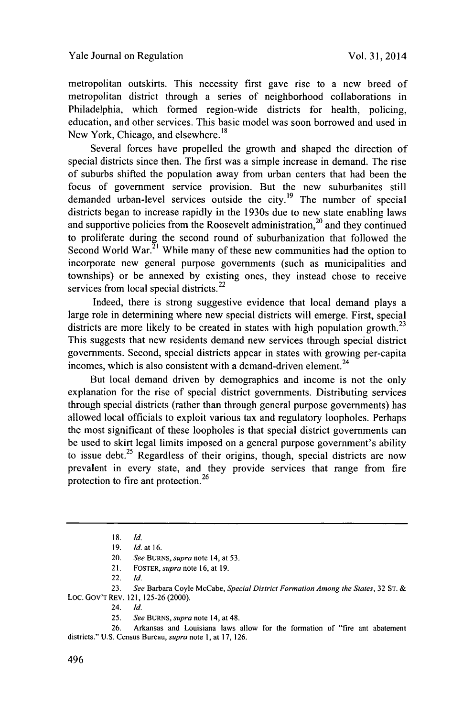metropolitan outskirts. This necessity first gave rise to a new breed of metropolitan district through a series of neighborhood collaborations in Philadelphia, which formed region-wide districts for health, policing, education, and other services. This basic model was soon borrowed and used in New York, Chicago, and elsewhere.<sup>18</sup>

Several forces have propelled the growth and shaped the direction of special districts since then. The first was a simple increase in demand. The rise of suburbs shifted the population away from urban centers that had been the focus of government service provision. But the new suburbanites still demanded urban-level services outside the city.<sup>19</sup> The number of special districts began to increase rapidly in the 1930s due to new state enabling laws and supportive policies from the Roosevelt administration,  $2<sup>0</sup>$  and they continued to proliferate during the second round of suburbanization that followed the Second World War.<sup>21</sup> While many of these new communities had the option to incorporate new general purpose governments (such as municipalities and townships) or be annexed **by** existing ones, they instead chose to receive services from local special districts.<sup>22</sup>

Indeed, there is strong suggestive evidence that local demand plays a large role in determining where new special districts will emerge. First, special districts are more likely to be created in states with high population growth.<sup>23</sup> This suggests that new residents demand new services through special district governments. Second, special districts appear in states with growing per-capita incomes, which is also consistent with a demand-driven element.<sup>24</sup>

But local demand driven **by** demographics and income is not the only explanation for the rise of special district governments. Distributing services through special districts (rather than through general purpose governments) has allowed local officials to exploit various tax and regulatory loopholes. Perhaps the most significant of these loopholes is that special district governments can be used to skirt legal limits imposed on a general purpose government's ability to issue debt.<sup>25</sup> Regardless of their origins, though, special districts are now prevalent in every state, and they provide services that range from fire protection to fire ant protection.<sup>26</sup>

- 21. FOSTER, *supra* note **16,** at **19.**
- 22. *Id.*

**23.** *See* Barbara Coyle McCabe, *Special District Formation Among the States,* **32 ST. &** Loc. Gov'T **REV.** 121, **125-26** (2000).

- 24. *Id.*
- **25.** *See BURNS, supra* note 14, at 48.

**26.** Arkansas and Louisiana laws allow for the formation of "fire ant abatement districts." **U.S.** Census Bureau, *supra* note **1,** at **17, 126.**

**<sup>18.</sup>** *Id*

**<sup>19.</sup>** *Id. at 16.*

<sup>20.</sup> *See BURNS, supra* note 14, at **53.**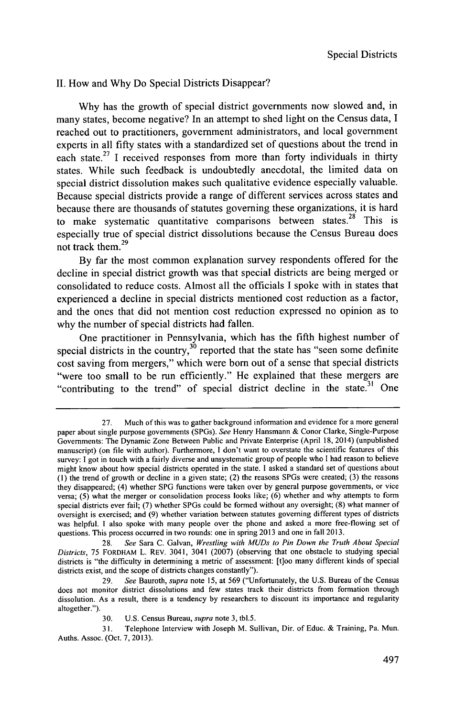#### **II.** How and **Why** Do Special Districts Disappear?

**Why** has the growth of special district governments now slowed and, in many states, become negative? In an attempt to shed light on the Census data, **I** reached out to practitioners, government administrators, and local government experts in all fifty states with a standardized set of questions about the trend in each state.<sup>27</sup> I received responses from more than forty individuals in thirty states. While such feedback is undoubtedly anecdotal, the limited data on special district dissolution makes such qualitative evidence especially valuable. Because special districts provide a range of different services across states and because there are thousands of statutes governing these organizations, it is hard to make systematic quantitative comparisons between states.<sup>28</sup> This is especially true of special district dissolutions because the Census Bureau does not track them.<sup>29</sup>

**By** far the most common explanation survey respondents offered for the decline in special district growth was that special districts are being merged or consolidated to reduce costs. Almost all the officials **I** spoke with in states that experienced a decline in special districts mentioned cost reduction as a factor, and the ones that did not mention cost reduction expressed no opinion as to why the number of special districts had fallen.

One practitioner in Pennsylvania, which has the fifth highest number of special districts in the country,<sup>30</sup> reported that the state has "seen some definite cost saving from mergers," which were born out of a sense that special districts "were too small to be run efficiently." He explained that these mergers are "contributing to the trend" of special district decline in the state.<sup>31</sup> One

**<sup>27.</sup>** Much of this was to gather background information and evidence for a more general paper about single purpose governments (SPGs). *See* Henry Hansmann **&** Conor Clarke, Single-Purpose Governments: The Dynamic Zone Between Public and Private Enterprise **(April 18,** 2014) (unpublished manuscript) (on file with author). Furthermore, **I** don't want to overstate the scientific features of this survey: **I** got in touch with a fairly diverse and unsystematic group of people who I had reason to believe might know about how special districts operated in the state. **I** asked a standard set of questions about **(1)** the trend of growth or decline in a given state; (2) the reasons SPGs were created; **(3)** the reasons they disappeared; (4) whether **SPG** functions were taken over **by** general purpose governments, or vice versa; **(5)** what the merger or consolidation process looks like; **(6)** whether and why attempts to form special districts ever fail; **(7)** whether SPGs could **be** formed without any oversight; **(8)** what manner of oversight is exercised; and **(9)** whether variation between statutes governing different types of districts was helpful. **I** also spoke with many people over the phone and asked a more free-flowing set of questions. This process occurred in two rounds: one in spring **2013** and one in fall **2013.**

**<sup>28.</sup>** *See* Sara **C.** Galvan, *Wrestling with MUDs to Pin Down the Truth About Special Districts, 75* FORDHAM L. REv. 3041, 3041 **(2007)** (observing that one obstacle to studying special districts is "the difficulty in determining a metric of assessment: [t]oo many different kinds of special districts exist, and the scope of districts changes constantly").

**<sup>29.</sup>** *See Bauroth, supra note* **15,** at **569** ("Unfortunately, the **U.S.** Bureau of the Census does not monitor district dissolutions and few states track their districts from formation through dissolution. As a result, there is a tendency **by** researchers to discount its importance and regularity altogether.").

**<sup>30.</sup> U.S.** Census Bureau, *supra* note **3,** tbl.5.

**<sup>31.</sup>** Telephone Interview with Joseph M. Sullivan, Dir. of Educ. **&** Training, Pa. Mun. Auths. Assoc. (Oct. **7, 2013).**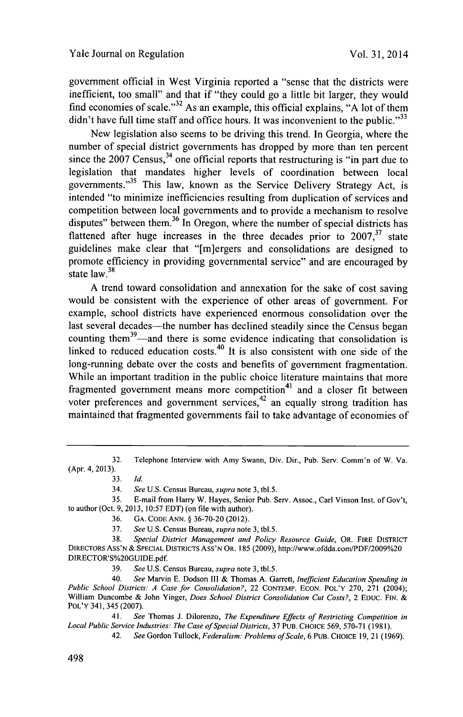government official in West Virginia reported a "sense that the districts were inefficient, too small" and that if "they could go a little bit larger, they would find economies of scale."<sup>32</sup> As an example, this official explains, "A lot of them didn't have full time staff and office hours. It was inconvenient to the public."<sup>33</sup>

New legislation also seems to be driving this trend. In Georgia, where the number of special district governments has dropped **by** more than ten percent since the  $2007$  Census,<sup>34</sup> one official reports that restructuring is "in part due to legislation that mandates higher levels of coordination between local governments."<sup>35</sup> This law, known as the Service Delivery Strategy Act, is intended "to minimize inefficiencies resulting from duplication of services and competition between local governments and to provide a mechanism to resolve disputes" between them.<sup>36</sup> In Oregon, where the number of special districts has flattened after huge increases in the three decades prior to  $2007$ , <sup>37</sup> state guidelines make clear that "[m]ergers and consolidations are designed to promote efficiency in providing governmental service" and are encouraged **by** state  $law.<sup>38</sup>$ 

**A** trend toward consolidation and annexation for the sake of cost saving would be consistent with the experience of other areas of government. For example, school districts have experienced enormous consolidation over the last several decades—the number has declined steadily since the Census began counting them<sup>39</sup>—and there is some evidence indicating that consolidation is linked to reduced education costs.<sup>40</sup> It is also consistent with one side of the long-running debate over the costs and benefits of government fragmentation. While an important tradition in the public choice literature maintains that more fragmented government means more competition<sup>41</sup> and a closer fit between voter preferences and government services,  $42$  an equally strong tradition has maintained that fragmented governments fail to take advantage of economies of

34. *See* **U.S.** Census Bureau, *supra* note **3,** tbl.5.

**35.** E-mail from Harry W. Hayes, Senior Pub. Serv. Assoc., Carl Vinson Inst. of Gov't, to author (Oct. **9, 2013, 10:57 EDT)** (on file with author).

- **36. GA. CODE ANN. § 36-70-20** (2012).
- **37.** *See* **U.S.** Census Bureau, *supra* note **3,** tbl.5.

**38.** *Special District Management and Policy Resource Guide,* OR. FIRE DISTRICT DIRECTORS ASS'N **& SPECIAL** DISTRICTS Ass'N OR. **185 (2009),** http://www.ofdda.com/PDF/2009%20 **DIRECTOR'S%20GUIDE.pdf.**

**39.** *See* **U.S.** Census Bureau, *supra* note **3,** tbl.5.

40. *See* Marvin **E.** Dodson **Ill &** Thomas **A.** Garrett, *Inefficient Education Spending in Public School Districts: A Case for Consolidation?,* 22 **CONTEMP. ECON.** POL'Y **270, 271** (2004); William Duncombe **&** John Yinger, *Does School District Consolidation Cut Costs?,* 2 **EDUC. FIN.** *&* POL'Y 341, 345 **(2007).**

41. *See* Thomas **J.** Dilorenzo, *The Expenditure Effects of Restricting Competition in Local Public Service Industries: The Case of Special Districts, 37 PUB. CHOICE 569, 570-71 (1981).*<br>42. See Gordon Tullock, *Federalism: Problems of Scale*, 6 PUB. CHOICE 19, 21 (19

42. *See* Gordon Tullock, *Federalism: Problems ofScale, 6* **PUB. CHOICE 19,** 21 **(1969).**

**<sup>32.</sup>** Telephone Interview with Amy Swann, Div. Dir., Pub. Serv. Comm'n of W. Va. (Apr. 4, **2013).**

**<sup>33.</sup>** *Id.*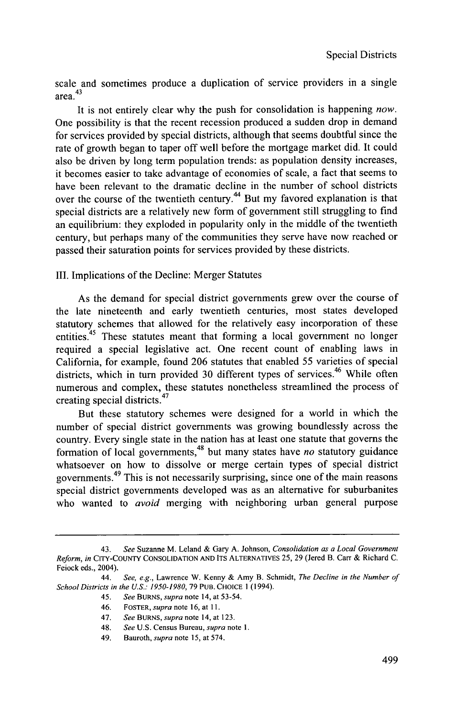scale and sometimes produce a duplication of service providers in a single area.43

It is not entirely clear why the push for consolidation is happening *now.* One possibility is that the recent recession produced a sudden drop in demand for services provided **by** special districts, although that seems doubtful since the rate of growth began to taper off well before the mortgage market did. It could also **be** driven **by** long term population trends: as population density increases, it becomes easier to take advantage of economies of scale, a fact that seems to have been relevant to the dramatic decline in the number of school districts over the course of the twentieth century.<sup>44</sup> But my favored explanation is that special districts are a relatively new form of government still struggling to find an equilibrium: they exploded in popularity only in the middle of the twentieth century, but perhaps many of the communities they serve have now reached or passed their saturation points for services provided **by** these districts.

III. Implications of the Decline: Merger Statutes

As the demand for special district governments grew over the course of the late nineteenth and early twentieth centuries, most states developed statutory schemes that allowed for the relatively easy incorporation of these entities.<sup>45</sup> These statutes meant that forming a local government no longer required a special legislative act. One recent count of enabling laws in California, for example, found **206** statutes that enabled **55** varieties of special districts, which in turn provided 30 different types of services.<sup>46</sup> While often numerous and complex, these statutes nonetheless streamlined the process of creating special districts. <sup>47</sup>

But these statutory schemes were designed for a world in which the number of special district governments was growing boundlessly across the country. Every single state in the nation has at least one statute that governs the formation of local governments,48 but many states have *no* statutory guidance whatsoever on how to dissolve or merge certain types of special district governments. 49 This is not necessarily surprising, since one of the main reasons special district governments developed was as an alternative for suburbanites who wanted to *avoid* merging with neighboring urban general purpose

**<sup>43.</sup>** *See* Suzanne M. Leland **&** Gary **A.** Johnson, Consolidation *as a Local Government Reform, in* **CITY-COUNTY CONSOLIDATION AND ITS ALTERNATIVES 25, 29** (Jered B. Carr **&** Richard **C.** Feiock eds., 2004).

<sup>44.</sup> *See, e.g.,* Lawrence W. Kenny **&** Amy B. Schmidt, *The Decline in the Number of School Districts in the U.S.: 1950-1980, 79* **PUB. CHOICE 1 (1994).**

*<sup>45.</sup> See BURNS, supra* note 14, at *53-54.*

<sup>46.</sup> FOSTER, *supra* note **16,** at **11.**

*<sup>47.</sup> See BURNS, supra* note 14, at **123.**

<sup>48.</sup> *See* **U.S.** Census Bureau, *supra* note **1.**

<sup>49.</sup> Bauroth, *supra note* **15,** at 574.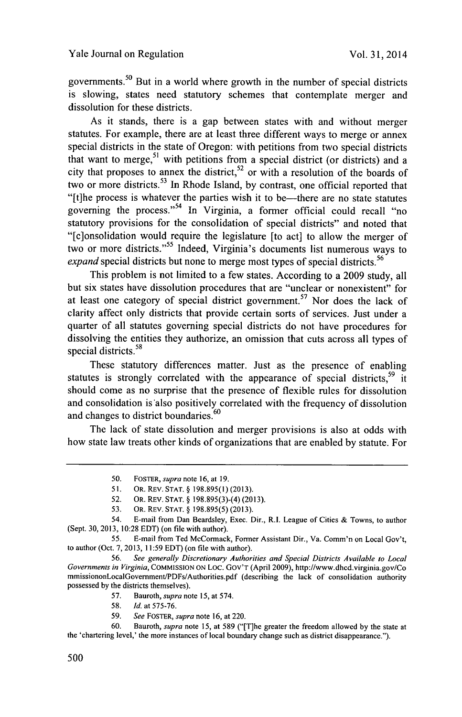governments.50 But in a world where growth in the number of special districts is slowing, states need statutory schemes that contemplate merger and dissolution for these districts.

As it stands, there is a gap between states with and without merger statutes. For example, there are at least three different ways to merge or annex special districts in the state of Oregon: with petitions from two special districts that want to merge,<sup>51</sup> with petitions from a special district (or districts) and a city that proposes to annex the district,<sup>52</sup> or with a resolution of the boards of two or more districts.<sup>53</sup> In Rhode Island, by contrast, one official reported that "[t]he process is whatever the parties wish it to be—there are no state statutes governing the process."<sup>54</sup> In Virginia, a former official could recall "no statutory provisions for the consolidation of special districts" and noted that "[c]onsolidation would require the legislature [to act] to allow the merger of two or more districts."55 Indeed, Virginia's documents list numerous ways to *expand* special districts but none to merge most types of special districts.<sup>56</sup>

This problem is not limited to a few states. According to a **2009** study, all but six states have dissolution procedures that are "unclear or nonexistent" for at least one category of special district government.<sup>57</sup> Nor does the lack of clarity affect only districts that provide certain sorts of services. Just under a quarter of all statutes governing special districts do not have procedures for dissolving the entities they authorize, an omission that cuts across all types of special districts.<sup>58</sup>

These statutory differences matter. Just as the presence of enabling statutes is strongly correlated with the appearance of special districts,  $59$  it should come as no surprise that the presence of flexible rules for dissolution and consolidation is'also positively correlated with the frequency of dissolution and changes to district boundaries.<sup>60</sup>

The lack of state dissolution and merger provisions is also at odds with how state law treats other kinds of organizations that are enabled **by** statute. For

**53. OR. REV. STAT. § 198.895(5) (2013).**

**55.** E-mail from Ted McCormack, Former Assistant Dir., Va. Comm'n on Local Gov't, to author (Oct. **7, 2013, 11:59 EDT)** (on file with author).

**56.** *See generally Discretionary Authorities and Special Districts Available to Local Governments in Virginia, COMMISSION* **ON** LOC. GOv'T (April **2009),** http://www.dhcd.virginia.gov/Co mmissiononLocalGovemment/PDFs/Authorities.pdf (describing the lack of consolidation authority possessed **by** the districts themselves).

- **58.** *Id.* at **575-76.**
- **59.** *See FOSTER, supra* **note 16,** at 220.

**60.** Bauroth, *supra* note **15,** at **589** ("[T]he greater the freedom allowed **by** the state at the 'chartering level,' the more instances of local boundary change such as district disappearance.").

*<sup>50.</sup> FOSTER, supra* note **16,** at **19.**

**<sup>51.</sup> OR. REV. STAT. § 198.895(1) (2013).**

**<sup>52.</sup> OR.** REv. **STAT. § 198.895(3)-(4) (2013).**

<sup>54.</sup> E-mail from Dan Beardsley, Exec. Dir., R.I. League of Cities **&** Towns, to author (Sept. **30, 2013, 10:28 EDT)** (on **file** with author).

**<sup>57.</sup>** Bauroth, *supra* note **15,** at 574.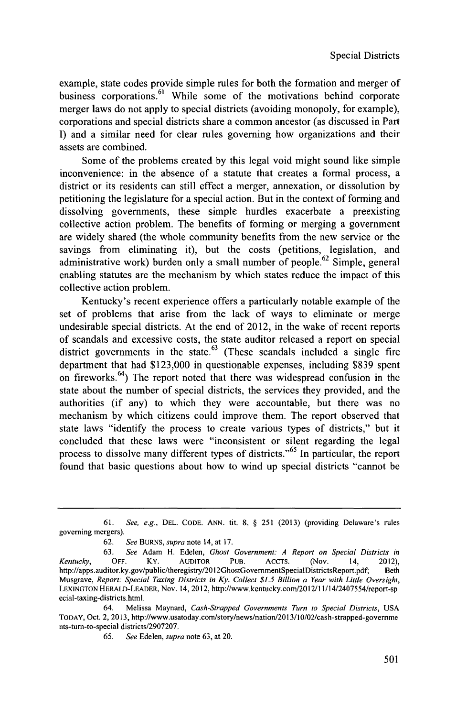example, state codes provide simple rules for both the formation and merger of business corporations.<sup>61</sup> While some of the motivations behind corporate merger laws do not apply to special districts (avoiding monopoly, for example). corporations and special districts share a common ancestor (as discussed in Part **I)** and a similar need for clear rules governing how organizations and their assets are combined.

Some of the problems created **by** this legal void might sound like simple inconvenience: in the absence of a statute that creates a formal process, a district or its residents can still effect a merger, annexation, or dissolution **by** petitioning the legislature for a special action. But in the context of forming and dissolving governments, these simple hurdles exacerbate a preexisting collective action problem. The benefits of forming or merging a government are widely shared (the whole community benefits from the new service or the savings from eliminating it), but the costs (petitions, legislation, and administrative work) burden only a small number of people.<sup>62</sup> Simple, general enabling statutes are the mechanism **by** which states reduce the impact of this collective action problem.

Kentucky's recent experience offers a particularly notable example of the set of problems that arise from the lack of ways to eliminate or merge undesirable special districts. At the end of 2012, in the wake of recent reports of scandals and excessive costs, the state auditor released a report on special district governments in the state. $^{63}$  (These scandals included a single fire department that had **\$123,000** in questionable expenses, including **\$839** spent on fireworks.<sup>64</sup>) The report noted that there was widespread confusion in the state about the number of special districts, the services they provided, and the authorities (if any) to which they were accountable, but there was no mechanism **by** which citizens could improve them. The report observed that state laws "identify the process to create various types of districts," but it concluded that these laws were "inconsistent or silent regarding the legal process to dissolve many different types of districts."65 In particular, the report found that basic questions about how to wind up special districts "cannot be

**<sup>61.</sup>** *See, e.g.,* **DEL. CODE. ANN. tit. 8, § 251 (2013)** (providing Delaware's rules governing mergers).

**<sup>62.</sup>** *See BURNS, supra* note 14, at **17.**

**<sup>63.</sup>** *See* Adam H. Edelen, *Ghost Government: A Report on Special Districts in Kentucky,* OFF. KY. AUDITOR **PUB.** ACCTS. (Nov. 14, 2012), http://apps.auditor.ky.gov/public/theregistry/2012GhostGovemmentSpecialDistrictsReport.pdf; Beth Musgrave, *Report: Special Taxing Districts in Ky. Collect \$1.5 Billion a Year with Little Oversight,* LEXINGTON HERALD-LEADER, Nov. 14, 2012, http://www.kentucky.com/2012/1 1/14/2407554/report-sp ecial-taxing-districts.html.

<sup>64.</sup> Melissa Maynard, *Cash-Strapped* Governments Turn *to Special Districts, USA* TODAY, Oct. 2, 2013, http://www.usatoday.com/story/news/nation/2013/10/02/cash-strapped-govemme nts-tum-to-special districts/2907207.

**<sup>65.</sup>** *See Edelen, supra* note **63,** at 20.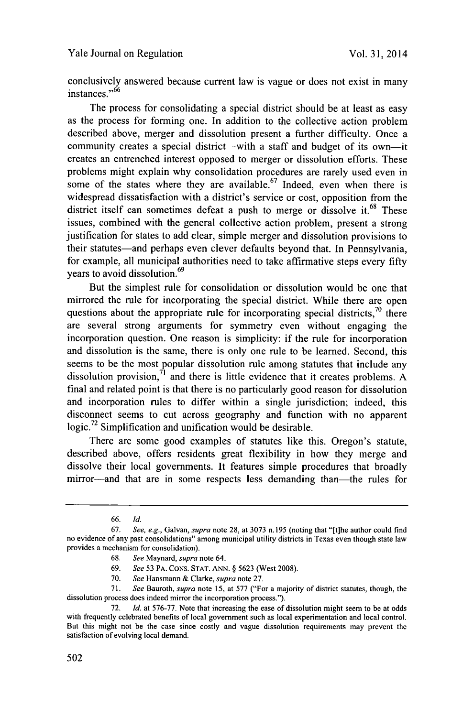conclusively answered because current law is vague or does not exist in many instances."<sup>66</sup>

The process for consolidating a special district should be at least as easy as the process for forming one. In addition to the collective action problem described above, merger and dissolution present a further difficulty. Once a community creates a special district-with a staff and budget of its own-it creates an entrenched interest opposed to merger or dissolution efforts. These problems might explain why consolidation procedures are rarely used even in some of the states where they are available.<sup>67</sup> Indeed, even when there is widespread dissatisfaction with a district's service or cost, opposition from the district itself can sometimes defeat a push to merge or dissolve it.<sup>68</sup> These issues, combined with the general collective action problem, present a strong justification for states to add clear, simple merger and dissolution provisions to their statutes-and perhaps even clever defaults beyond that. In Pennsylvania, for example, all municipal authorities need to take affirmative steps every fifty years to avoid dissolution.<sup>69</sup>

But the simplest rule for consolidation or dissolution would be one that mirrored the rule for incorporating the special district. While there are open questions about the appropriate rule for incorporating special districts,  $\frac{70}{10}$  there are several strong arguments for symmetry even without engaging the incorporation question. One reason is simplicity: if the rule for incorporation and dissolution is the same, there is only one rule to be learned. Second, this seems to be the most popular dissolution rule among statutes that include any dissolution provision,71 and there is little evidence that it creates problems. **A** final and related point is that there is no particularly good reason for dissolution and incorporation rules to differ within a single jurisdiction; indeed, this disconnect seems to cut across geography and function with no apparent **logic.72** Simplification and unification would be desirable.

There are some good examples of statutes like this. Oregon's statute, described above, offers residents great flexibility in how they merge and dissolve their local governments. It features simple procedures that broadly mirror-and that are in some respects less demanding than-the rules for

- **68.** *See Maynard, supra* note 64.
- **69.** *See* **53** PA. **CONS. STAT. ANN. § 5623** (West **2008).**
- **70.** *See* Hansmann **&** Clarke, *supra* note **27.**

**<sup>66.</sup>** *Id.*

*<sup>67.</sup> See, e.g., Galvan, supra* note **28,** at **3073** n. **195** (noting that "[t]he author could find no evidence of any past consolidations" among municipal utility districts in Texas even though state law provides a mechanism for consolidation).

**<sup>71.</sup>** *See Bauroth, supra* note *15,* at *577* ("For a majority of district statutes, though, the dissolution process does indeed mirror the incorporation process.").

**<sup>72.</sup>** *Id.* at **576-77.** Note that increasing the ease of dissolution might seem to be at odds with frequently celebrated benefits of local government such as local experimentation and local control. But this might not be the case since costly and vague dissolution requirements may prevent the satisfaction of evolving local demand.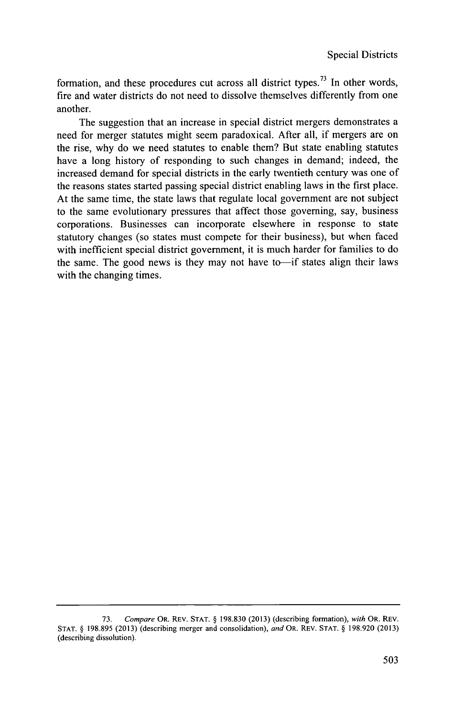formation, and these procedures cut across all district types.<sup>73</sup> In other words, fire and water districts do not need to dissolve themselves differently from one another.

The suggestion that an increase in special district mergers demonstrates a need for merger statutes might seem paradoxical. After all, if mergers are on the rise, why do we need statutes to enable them? But state enabling statutes have a long history of responding to such changes in demand; indeed, the increased demand for special districts in the early twentieth century was one of the reasons states started passing special district enabling laws in the first place. At the same time, the state laws that regulate local government are not subject to the same evolutionary pressures that affect those governing, say, business corporations. Businesses can incorporate elsewhere in response to state statutory changes (so states must compete for their business), but when faced with inefficient special district government, it is much harder for families to do the same. The good news is they may not have to-if states align their laws with the changing times.

**<sup>73.</sup>** *Compare* **OR. REV. STAT. § 198.830 (2013)** (describing formation), *with* OR. **REV. STAT. § 198.895 (2013)** (describing merger and consolidation), *and OR.* **REV. STAT. § 198.920 (2013)** (describing dissolution).